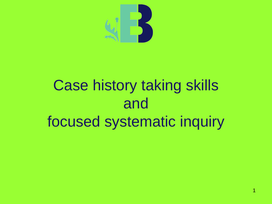

## Case history taking skills and focused systematic inquiry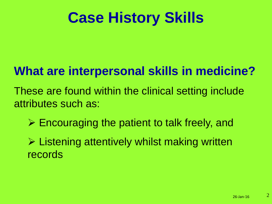## **Case History Skills**

### **What are interpersonal skills in medicine?**

These are found within the clinical setting include attributes such as:

 $\triangleright$  Encouraging the patient to talk freely, and

 $\triangleright$  Listening attentively whilst making written records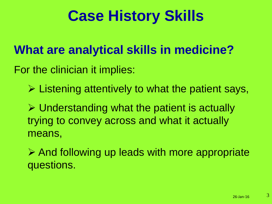## **Case History Skills**

### **What are analytical skills in medicine?**

For the clinician it implies:

 $\triangleright$  Listening attentively to what the patient says,

 $\triangleright$  Understanding what the patient is actually trying to convey across and what it actually means,

 $\triangleright$  And following up leads with more appropriate questions.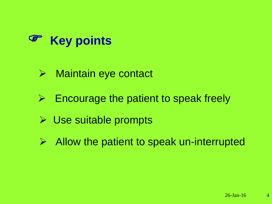

#### **▶ Maintain eye contact**

- $\triangleright$  Encourage the patient to speak freely
- **▶ Use suitable prompts**
- $\triangleright$  Allow the patient to speak un-interrupted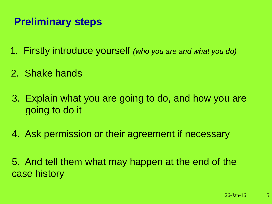#### **Preliminary steps**

- 1. Firstly introduce yourself *(who you are and what you do)*
- 2. Shake hands
- 3. Explain what you are going to do, and how you are going to do it
- 4. Ask permission or their agreement if necessary

5. And tell them what may happen at the end of the case history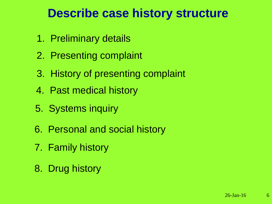#### **Describe case history structure**

- 1. Preliminary details
- 2. Presenting complaint
- 3. History of presenting complaint
- 4. Past medical history
- 5. Systems inquiry
- 6. Personal and social history
- 7. Family history
- 8. Drug history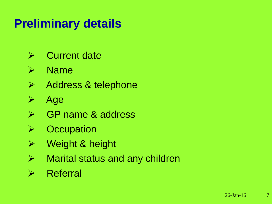### **Preliminary details**

- $\triangleright$  Current date
- $\triangleright$  Name
- > Address & telephone
- $\triangleright$  Age
- **► GP name & address**
- $\triangleright$  Occupation
- **▶ Weight & height**
- $\triangleright$  Marital status and any children
- $\triangleright$  Referral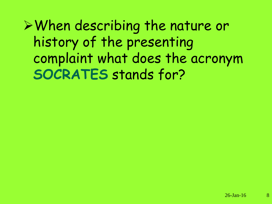When describing the nature or history of the presenting complaint what does the acronym **SOCRATES** stands for?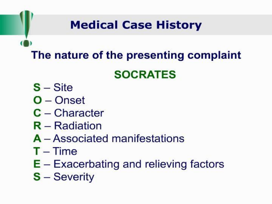### **Medical Case History**

### The nature of the presenting complaint

#### **SOCRATES**

- $S -$ Site
- $O$  Onset
- $C -$ Character
- $R -$ Radiation
- A Associated manifestations
- $T Time$
- $E Exacerbating$  and relieving factors
- $S -$  Severity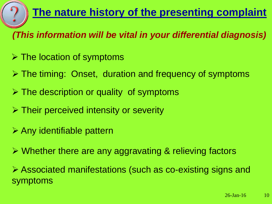#### **The nature history of the presenting complaint**

*(This information will be vital in your differential diagnosis)*

- $\triangleright$  The location of symptoms
- $\triangleright$  The timing: Onset, duration and frequency of symptoms
- $\triangleright$  The description or quality of symptoms
- $\triangleright$  Their perceived intensity or severity
- $\triangleright$  Any identifiable pattern
- Whether there are any aggravating & relieving factors

 Associated manifestations (such as co-existing signs and symptoms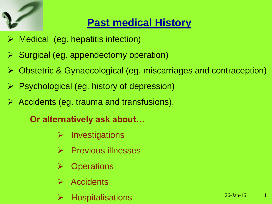

#### **Past medical History**

- $\triangleright$  Medical (eg. hepatitis infection)
- $\triangleright$  Surgical (eg. appendectomy operation)
- Obstetric & Gynaecological (eg. miscarriages and contraception)
- $\triangleright$  Psychological (eg. history of depression)
- Accidents (eg. trauma and transfusions),

#### **Or alternatively ask about…**

- $\triangleright$  Investigations
- $\triangleright$  Previous illnesses
- $\triangleright$  Operations
- **Accidents**
- **Hospitalisations**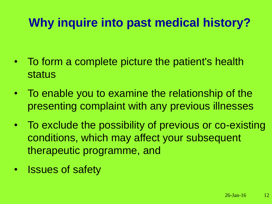### **Why inquire into past medical history?**

- To form a complete picture the patient's health status
- To enable you to examine the relationship of the presenting complaint with any previous illnesses
- To exclude the possibility of previous or co-existing conditions, which may affect your subsequent therapeutic programme, and
- Issues of safety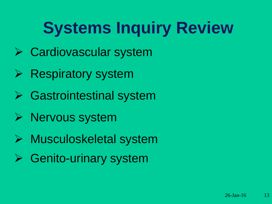# **Systems Inquiry Review**

- Cardiovascular system
- $\triangleright$  Respiratory system
- **▶ Gastrointestinal system**
- $\triangleright$  Nervous system
- Musculoskeletal system
- **► Genito-urinary system**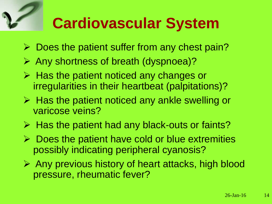## **Cardiovascular System**

- $\triangleright$  Does the patient suffer from any chest pain?
- Any shortness of breath (dyspnoea)?
- $\triangleright$  Has the patient noticed any changes or irregularities in their heartbeat (palpitations)?
- $\triangleright$  Has the patient noticed any ankle swelling or varicose veins?
- $\triangleright$  Has the patient had any black-outs or faints?
- $\triangleright$  Does the patient have cold or blue extremities possibly indicating peripheral cyanosis?
- $\triangleright$  Any previous history of heart attacks, high blood pressure, rheumatic fever?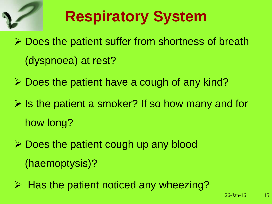

# **Respiratory System**

- **► Does the patient suffer from shortness of breath** (dyspnoea) at rest?
- $\triangleright$  Does the patient have a cough of any kind?
- $\triangleright$  Is the patient a smoker? If so how many and for how long?
- $\triangleright$  Does the patient cough up any blood (haemoptysis)?
- $\triangleright$  Has the patient noticed any wheezing?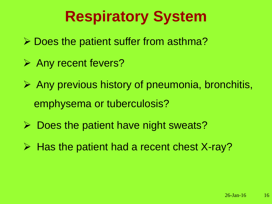## **Respiratory System**

- $\triangleright$  Does the patient suffer from asthma?
- **Any recent fevers?**
- $\triangleright$  Any previous history of pneumonia, bronchitis, emphysema or tuberculosis?
- $\triangleright$  Does the patient have night sweats?
- $\triangleright$  Has the patient had a recent chest X-ray?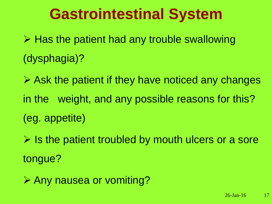### **Gastrointestinal System**

 $\triangleright$  Has the patient had any trouble swallowing (dysphagia)?

 $\triangleright$  Ask the patient if they have noticed any changes in the weight, and any possible reasons for this? (eg. appetite)

 $\triangleright$  Is the patient troubled by mouth ulcers or a sore tongue?

**≻ Any nausea or vomiting?**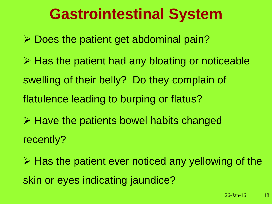### **Gastrointestinal System**

 $\triangleright$  Does the patient get abdominal pain?

 $\triangleright$  Has the patient had any bloating or noticeable swelling of their belly? Do they complain of flatulence leading to burping or flatus?

 $\triangleright$  Have the patients bowel habits changed recently?

 $\triangleright$  Has the patient ever noticed any yellowing of the skin or eyes indicating jaundice?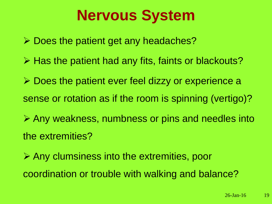## **Nervous System**

 $\triangleright$  Does the patient get any headaches?

- $\triangleright$  Has the patient had any fits, faints or blackouts?
- **► Does the patient ever feel dizzy or experience a** sense or rotation as if the room is spinning (vertigo)?
- Any weakness, numbness or pins and needles into the extremities?
- Any clumsiness into the extremities, poor coordination or trouble with walking and balance?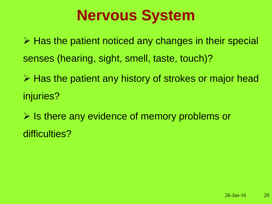## **Nervous System**

 $\triangleright$  Has the patient noticed any changes in their special senses (hearing, sight, smell, taste, touch)?

 $\triangleright$  Has the patient any history of strokes or major head injuries?

 $\triangleright$  Is there any evidence of memory problems or difficulties?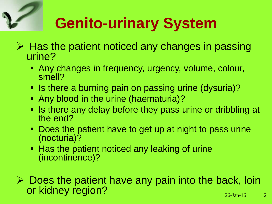# **Genito-urinary System**

- $\triangleright$  Has the patient noticed any changes in passing urine?
	- Any changes in frequency, urgency, volume, colour, smell?
	- Is there a burning pain on passing urine (dysuria)?
	- Any blood in the urine (haematuria)?
	- Is there any delay before they pass urine or dribbling at the end?
	- Does the patient have to get up at night to pass urine (nocturia)?
	- **Has the patient noticed any leaking of urine** (incontinence)?
- $\triangleright$  Does the patient have any pain into the back, loin or kidney region?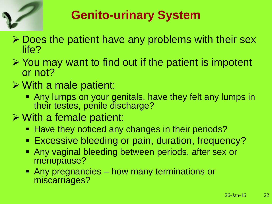

### **Genito-urinary System**

- $\triangleright$  Does the patient have any problems with their sex life?
- $\triangleright$  You may want to find out if the patient is impotent or not?
- $\triangleright$  With a male patient:
	- Any lumps on your genitals, have they felt any lumps in their testes, penile discharge?
- With a female patient:
	- Have they noticed any changes in their periods?
	- **Excessive bleeding or pain, duration, frequency?**
	- Any vaginal bleeding between periods, after sex or menopause?
	- Any pregnancies how many terminations or miscarriages?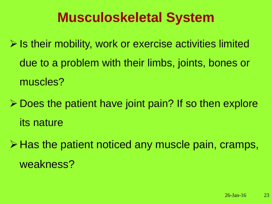### **Musculoskeletal System**

- $\triangleright$  Is their mobility, work or exercise activities limited due to a problem with their limbs, joints, bones or muscles?
- $\triangleright$  Does the patient have joint pain? If so then explore its nature
- $\triangleright$  Has the patient noticed any muscle pain, cramps, weakness?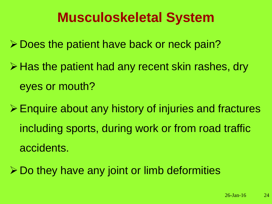### **Musculoskeletal System**

- **≻ Does the patient have back or neck pain?**
- $\triangleright$  Has the patient had any recent skin rashes, dry eyes or mouth?
- Enquire about any history of injuries and fractures including sports, during work or from road traffic accidents.
- $\triangleright$  Do they have any joint or limb deformities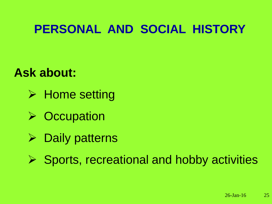### **PERSONAL AND SOCIAL HISTORY**

#### **Ask about:**

- $\triangleright$  Home setting
- $\triangleright$  Occupation
- $\triangleright$  Daily patterns
- $\triangleright$  Sports, recreational and hobby activities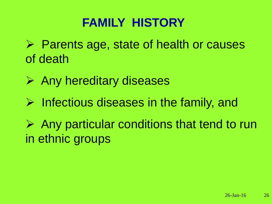### **FAMILY HISTORY**

- $\triangleright$  Parents age, state of health or causes of death
- $\triangleright$  Any hereditary diseases
- $\triangleright$  Infectious diseases in the family, and
- $\triangleright$  Any particular conditions that tend to run in ethnic groups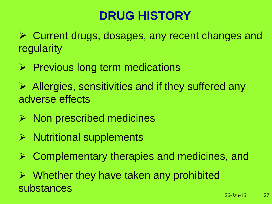### **DRUG HISTORY**

 Current drugs, dosages, any recent changes and regularity

- $\triangleright$  Previous long term medications
- $\triangleright$  Allergies, sensitivities and if they suffered any adverse effects
- $\triangleright$  Non prescribed medicines
- $\triangleright$  Nutritional supplements
- ▶ Complementary therapies and medicines, and

 $\triangleright$  Whether they have taken any prohibited substances